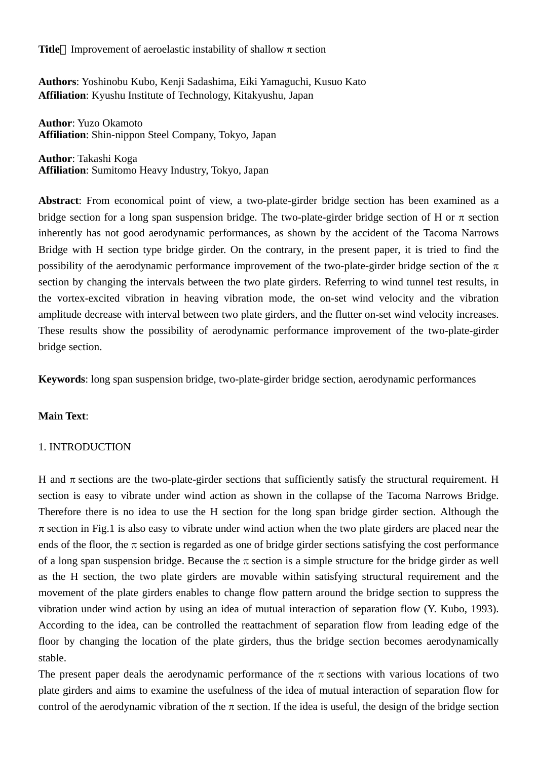**Title** Improvement of aeroelastic instability of shallow  $\pi$  section

**Authors**: Yoshinobu Kubo, Kenji Sadashima, Eiki Yamaguchi, Kusuo Kato **Affiliation**: Kyushu Institute of Technology, Kitakyushu, Japan

**Author**: Yuzo Okamoto **Affiliation**: Shin-nippon Steel Company, Tokyo, Japan

**Author**: Takashi Koga **Affiliation**: Sumitomo Heavy Industry, Tokyo, Japan

**Abstract**: From economical point of view, a two-plate-girder bridge section has been examined as a bridge section for a long span suspension bridge. The two-plate-girder bridge section of H or  $\pi$  section inherently has not good aerodynamic performances, as shown by the accident of the Tacoma Narrows Bridge with H section type bridge girder. On the contrary, in the present paper, it is tried to find the possibility of the aerodynamic performance improvement of the two-plate-girder bridge section of the  $\pi$ section by changing the intervals between the two plate girders. Referring to wind tunnel test results, in the vortex-excited vibration in heaving vibration mode, the on-set wind velocity and the vibration amplitude decrease with interval between two plate girders, and the flutter on-set wind velocity increases. These results show the possibility of aerodynamic performance improvement of the two-plate-girder bridge section.

**Keywords**: long span suspension bridge, two-plate-girder bridge section, aerodynamic performances

# **Main Text**:

# 1. INTRODUCTION

H and  $\pi$  sections are the two-plate-girder sections that sufficiently satisfy the structural requirement. H section is easy to vibrate under wind action as shown in the collapse of the Tacoma Narrows Bridge. Therefore there is no idea to use the H section for the long span bridge girder section. Although the  $\pi$  section in Fig.1 is also easy to vibrate under wind action when the two plate girders are placed near the ends of the floor, the  $\pi$  section is regarded as one of bridge girder sections satisfying the cost performance of a long span suspension bridge. Because the  $\pi$  section is a simple structure for the bridge girder as well as the H section, the two plate girders are movable within satisfying structural requirement and the movement of the plate girders enables to change flow pattern around the bridge section to suppress the vibration under wind action by using an idea of mutual interaction of separation flow (Y. Kubo, 1993). According to the idea, can be controlled the reattachment of separation flow from leading edge of the floor by changing the location of the plate girders, thus the bridge section becomes aerodynamically stable.

The present paper deals the aerodynamic performance of the  $\pi$  sections with various locations of two plate girders and aims to examine the usefulness of the idea of mutual interaction of separation flow for control of the aerodynamic vibration of the  $\pi$  section. If the idea is useful, the design of the bridge section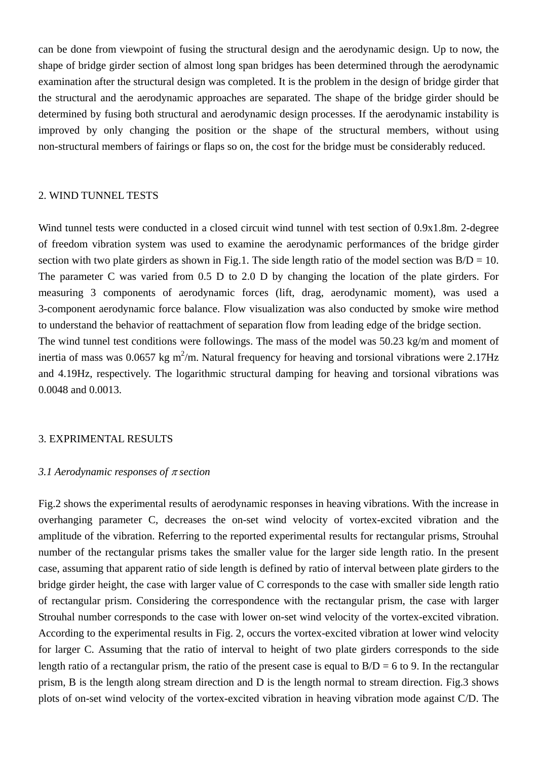can be done from viewpoint of fusing the structural design and the aerodynamic design. Up to now, the shape of bridge girder section of almost long span bridges has been determined through the aerodynamic examination after the structural design was completed. It is the problem in the design of bridge girder that the structural and the aerodynamic approaches are separated. The shape of the bridge girder should be determined by fusing both structural and aerodynamic design processes. If the aerodynamic instability is improved by only changing the position or the shape of the structural members, without using non-structural members of fairings or flaps so on, the cost for the bridge must be considerably reduced.

## 2. WIND TUNNEL TESTS

Wind tunnel tests were conducted in a closed circuit wind tunnel with test section of 0.9x1.8m. 2-degree of freedom vibration system was used to examine the aerodynamic performances of the bridge girder section with two plate girders as shown in Fig.1. The side length ratio of the model section was  $B/D = 10$ . The parameter C was varied from 0.5 D to 2.0 D by changing the location of the plate girders. For measuring 3 components of aerodynamic forces (lift, drag, aerodynamic moment), was used a 3-component aerodynamic force balance. Flow visualization was also conducted by smoke wire method to understand the behavior of reattachment of separation flow from leading edge of the bridge section. The wind tunnel test conditions were followings. The mass of the model was 50.23 kg/m and moment of inertia of mass was 0.0657 kg m<sup>2</sup>/m. Natural frequency for heaving and torsional vibrations were 2.17Hz and 4.19Hz, respectively. The logarithmic structural damping for heaving and torsional vibrations was

0.0048 and 0.0013.

# 3. EXPRIMENTAL RESULTS

# *3.1 Aerodynamic responses of* π *section*

Fig.2 shows the experimental results of aerodynamic responses in heaving vibrations. With the increase in overhanging parameter C, decreases the on-set wind velocity of vortex-excited vibration and the amplitude of the vibration. Referring to the reported experimental results for rectangular prisms, Strouhal number of the rectangular prisms takes the smaller value for the larger side length ratio. In the present case, assuming that apparent ratio of side length is defined by ratio of interval between plate girders to the bridge girder height, the case with larger value of C corresponds to the case with smaller side length ratio of rectangular prism. Considering the correspondence with the rectangular prism, the case with larger Strouhal number corresponds to the case with lower on-set wind velocity of the vortex-excited vibration. According to the experimental results in Fig. 2, occurs the vortex-excited vibration at lower wind velocity for larger C. Assuming that the ratio of interval to height of two plate girders corresponds to the side length ratio of a rectangular prism, the ratio of the present case is equal to  $B/D = 6$  to 9. In the rectangular prism, B is the length along stream direction and D is the length normal to stream direction. Fig.3 shows plots of on-set wind velocity of the vortex-excited vibration in heaving vibration mode against C/D. The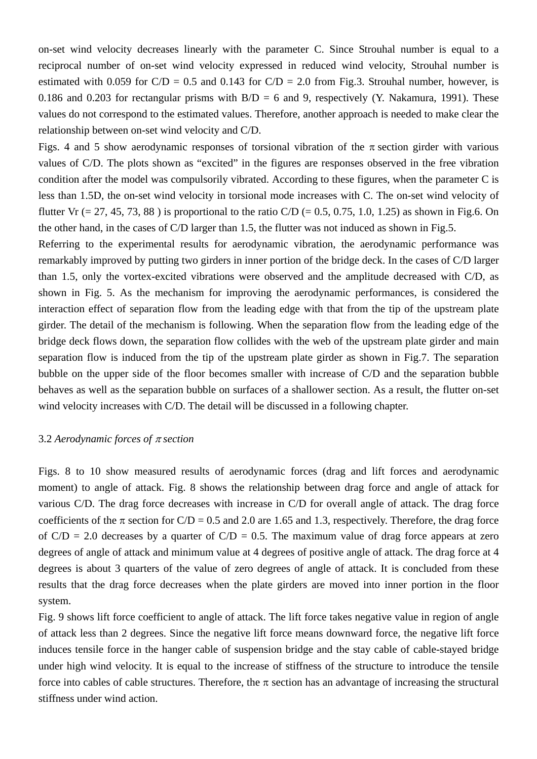on-set wind velocity decreases linearly with the parameter C. Since Strouhal number is equal to a reciprocal number of on-set wind velocity expressed in reduced wind velocity, Strouhal number is estimated with 0.059 for  $C/D = 0.5$  and 0.143 for  $C/D = 2.0$  from Fig.3. Strouhal number, however, is 0.186 and 0.203 for rectangular prisms with  $B/D = 6$  and 9, respectively (Y. Nakamura, 1991). These values do not correspond to the estimated values. Therefore, another approach is needed to make clear the relationship between on-set wind velocity and C/D.

Figs. 4 and 5 show aerodynamic responses of torsional vibration of the  $\pi$  section girder with various values of C/D. The plots shown as "excited" in the figures are responses observed in the free vibration condition after the model was compulsorily vibrated. According to these figures, when the parameter C is less than 1.5D, the on-set wind velocity in torsional mode increases with C. The on-set wind velocity of flutter Vr (= 27, 45, 73, 88) is proportional to the ratio C/D (= 0.5, 0.75, 1.0, 1.25) as shown in Fig.6. On the other hand, in the cases of C/D larger than 1.5, the flutter was not induced as shown in Fig.5.

Referring to the experimental results for aerodynamic vibration, the aerodynamic performance was remarkably improved by putting two girders in inner portion of the bridge deck. In the cases of C/D larger than 1.5, only the vortex-excited vibrations were observed and the amplitude decreased with C/D, as shown in Fig. 5. As the mechanism for improving the aerodynamic performances, is considered the interaction effect of separation flow from the leading edge with that from the tip of the upstream plate girder. The detail of the mechanism is following. When the separation flow from the leading edge of the bridge deck flows down, the separation flow collides with the web of the upstream plate girder and main separation flow is induced from the tip of the upstream plate girder as shown in Fig.7. The separation bubble on the upper side of the floor becomes smaller with increase of C/D and the separation bubble behaves as well as the separation bubble on surfaces of a shallower section. As a result, the flutter on-set wind velocity increases with C/D. The detail will be discussed in a following chapter.

#### 3.2 *Aerodynamic forces of* π *section*

Figs. 8 to 10 show measured results of aerodynamic forces (drag and lift forces and aerodynamic moment) to angle of attack. Fig. 8 shows the relationship between drag force and angle of attack for various C/D. The drag force decreases with increase in C/D for overall angle of attack. The drag force coefficients of the  $\pi$  section for C/D = 0.5 and 2.0 are 1.65 and 1.3, respectively. Therefore, the drag force of  $C/D = 2.0$  decreases by a quarter of  $C/D = 0.5$ . The maximum value of drag force appears at zero degrees of angle of attack and minimum value at 4 degrees of positive angle of attack. The drag force at 4 degrees is about 3 quarters of the value of zero degrees of angle of attack. It is concluded from these results that the drag force decreases when the plate girders are moved into inner portion in the floor system.

Fig. 9 shows lift force coefficient to angle of attack. The lift force takes negative value in region of angle of attack less than 2 degrees. Since the negative lift force means downward force, the negative lift force induces tensile force in the hanger cable of suspension bridge and the stay cable of cable-stayed bridge under high wind velocity. It is equal to the increase of stiffness of the structure to introduce the tensile force into cables of cable structures. Therefore, the  $\pi$  section has an advantage of increasing the structural stiffness under wind action.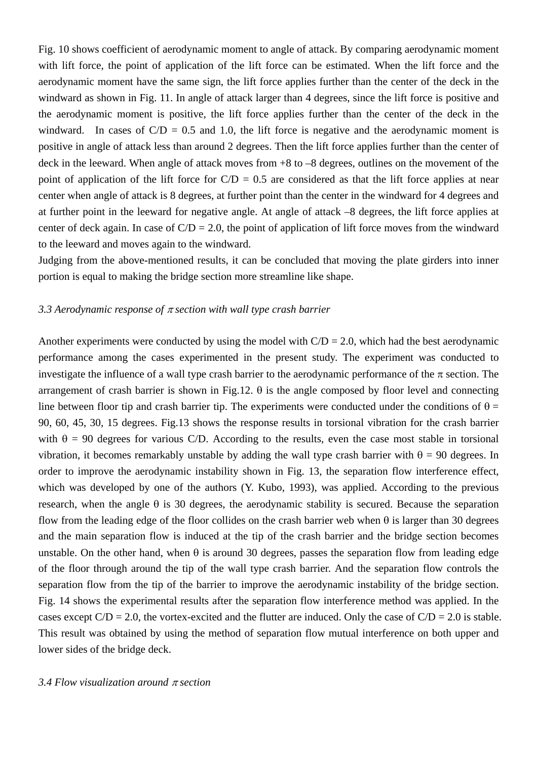Fig. 10 shows coefficient of aerodynamic moment to angle of attack. By comparing aerodynamic moment with lift force, the point of application of the lift force can be estimated. When the lift force and the aerodynamic moment have the same sign, the lift force applies further than the center of the deck in the windward as shown in Fig. 11. In angle of attack larger than 4 degrees, since the lift force is positive and the aerodynamic moment is positive, the lift force applies further than the center of the deck in the windward. In cases of  $C/D = 0.5$  and 1.0, the lift force is negative and the aerodynamic moment is positive in angle of attack less than around 2 degrees. Then the lift force applies further than the center of deck in the leeward. When angle of attack moves from +8 to –8 degrees, outlines on the movement of the point of application of the lift force for  $C/D = 0.5$  are considered as that the lift force applies at near center when angle of attack is 8 degrees, at further point than the center in the windward for 4 degrees and at further point in the leeward for negative angle. At angle of attack –8 degrees, the lift force applies at center of deck again. In case of  $C/D = 2.0$ , the point of application of lift force moves from the windward to the leeward and moves again to the windward.

Judging from the above-mentioned results, it can be concluded that moving the plate girders into inner portion is equal to making the bridge section more streamline like shape.

## *3.3 Aerodynamic response of* π *section with wall type crash barrier*

Another experiments were conducted by using the model with  $C/D = 2.0$ , which had the best aerodynamic performance among the cases experimented in the present study. The experiment was conducted to investigate the influence of a wall type crash barrier to the aerodynamic performance of the  $\pi$  section. The arrangement of crash barrier is shown in Fig.12.  $\theta$  is the angle composed by floor level and connecting line between floor tip and crash barrier tip. The experiments were conducted under the conditions of  $\theta =$ 90, 60, 45, 30, 15 degrees. Fig.13 shows the response results in torsional vibration for the crash barrier with  $\theta = 90$  degrees for various C/D. According to the results, even the case most stable in torsional vibration, it becomes remarkably unstable by adding the wall type crash barrier with  $\theta = 90$  degrees. In order to improve the aerodynamic instability shown in Fig. 13, the separation flow interference effect, which was developed by one of the authors (Y. Kubo, 1993), was applied. According to the previous research, when the angle  $\theta$  is 30 degrees, the aerodynamic stability is secured. Because the separation flow from the leading edge of the floor collides on the crash barrier web when  $\theta$  is larger than 30 degrees and the main separation flow is induced at the tip of the crash barrier and the bridge section becomes unstable. On the other hand, when  $\theta$  is around 30 degrees, passes the separation flow from leading edge of the floor through around the tip of the wall type crash barrier. And the separation flow controls the separation flow from the tip of the barrier to improve the aerodynamic instability of the bridge section. Fig. 14 shows the experimental results after the separation flow interference method was applied. In the cases except  $C/D = 2.0$ , the vortex-excited and the flutter are induced. Only the case of  $C/D = 2.0$  is stable. This result was obtained by using the method of separation flow mutual interference on both upper and lower sides of the bridge deck.

### *3.4 Flow visualization around* π *section*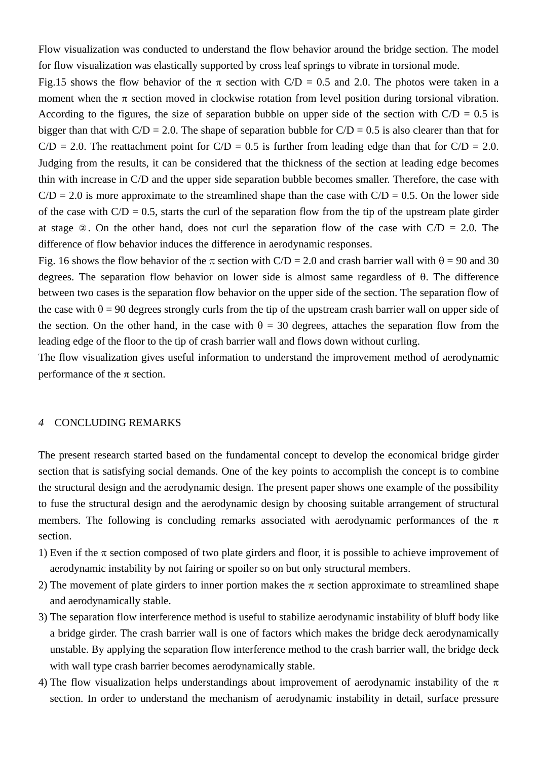Flow visualization was conducted to understand the flow behavior around the bridge section. The model for flow visualization was elastically supported by cross leaf springs to vibrate in torsional mode.

Fig.15 shows the flow behavior of the  $\pi$  section with C/D = 0.5 and 2.0. The photos were taken in a moment when the  $\pi$  section moved in clockwise rotation from level position during torsional vibration. According to the figures, the size of separation bubble on upper side of the section with  $C/D = 0.5$  is bigger than that with  $C/D = 2.0$ . The shape of separation bubble for  $C/D = 0.5$  is also clearer than that for  $C/D = 2.0$ . The reattachment point for  $C/D = 0.5$  is further from leading edge than that for  $C/D = 2.0$ . Judging from the results, it can be considered that the thickness of the section at leading edge becomes thin with increase in C/D and the upper side separation bubble becomes smaller. Therefore, the case with  $C/D = 2.0$  is more approximate to the streamlined shape than the case with  $C/D = 0.5$ . On the lower side of the case with  $C/D = 0.5$ , starts the curl of the separation flow from the tip of the upstream plate girder at stage . On the other hand, does not curl the separation flow of the case with  $C/D = 2.0$ . The difference of flow behavior induces the difference in aerodynamic responses.

Fig. 16 shows the flow behavior of the  $\pi$  section with C/D = 2.0 and crash barrier wall with  $\theta$  = 90 and 30 degrees. The separation flow behavior on lower side is almost same regardless of θ. The difference between two cases is the separation flow behavior on the upper side of the section. The separation flow of the case with  $\theta = 90$  degrees strongly curls from the tip of the upstream crash barrier wall on upper side of the section. On the other hand, in the case with  $\theta = 30$  degrees, attaches the separation flow from the leading edge of the floor to the tip of crash barrier wall and flows down without curling.

The flow visualization gives useful information to understand the improvement method of aerodynamic performance of the  $\pi$  section.

## *4* CONCLUDING REMARKS

The present research started based on the fundamental concept to develop the economical bridge girder section that is satisfying social demands. One of the key points to accomplish the concept is to combine the structural design and the aerodynamic design. The present paper shows one example of the possibility to fuse the structural design and the aerodynamic design by choosing suitable arrangement of structural members. The following is concluding remarks associated with aerodynamic performances of the  $\pi$ section.

- 1) Even if the  $\pi$  section composed of two plate girders and floor, it is possible to achieve improvement of aerodynamic instability by not fairing or spoiler so on but only structural members.
- 2) The movement of plate girders to inner portion makes the  $\pi$  section approximate to streamlined shape and aerodynamically stable.
- 3) The separation flow interference method is useful to stabilize aerodynamic instability of bluff body like a bridge girder. The crash barrier wall is one of factors which makes the bridge deck aerodynamically unstable. By applying the separation flow interference method to the crash barrier wall, the bridge deck with wall type crash barrier becomes aerodynamically stable.
- 4) The flow visualization helps understandings about improvement of aerodynamic instability of the  $\pi$ section. In order to understand the mechanism of aerodynamic instability in detail, surface pressure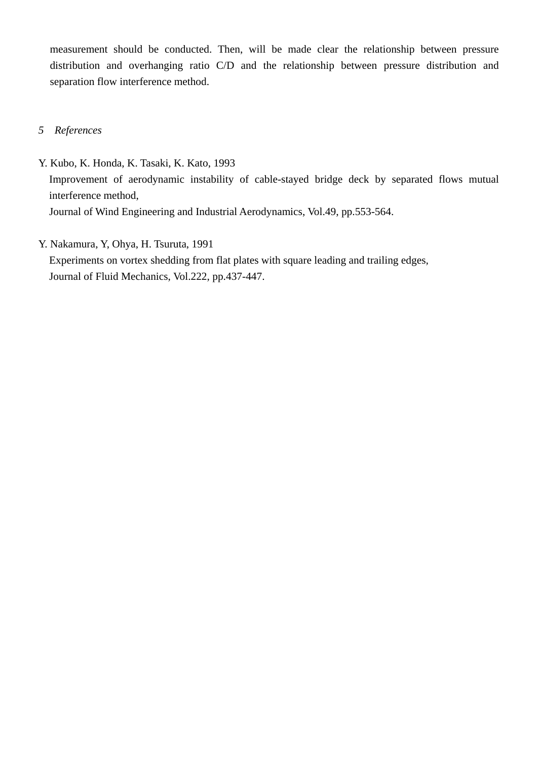measurement should be conducted. Then, will be made clear the relationship between pressure distribution and overhanging ratio C/D and the relationship between pressure distribution and separation flow interference method.

- *5 References*
- Y. Kubo, K. Honda, K. Tasaki, K. Kato, 1993 Improvement of aerodynamic instability of cable-stayed bridge deck by separated flows mutual interference method, Journal of Wind Engineering and Industrial Aerodynamics, Vol.49, pp.553-564.
- Y. Nakamura, Y, Ohya, H. Tsuruta, 1991

Experiments on vortex shedding from flat plates with square leading and trailing edges, Journal of Fluid Mechanics, Vol.222, pp.437-447.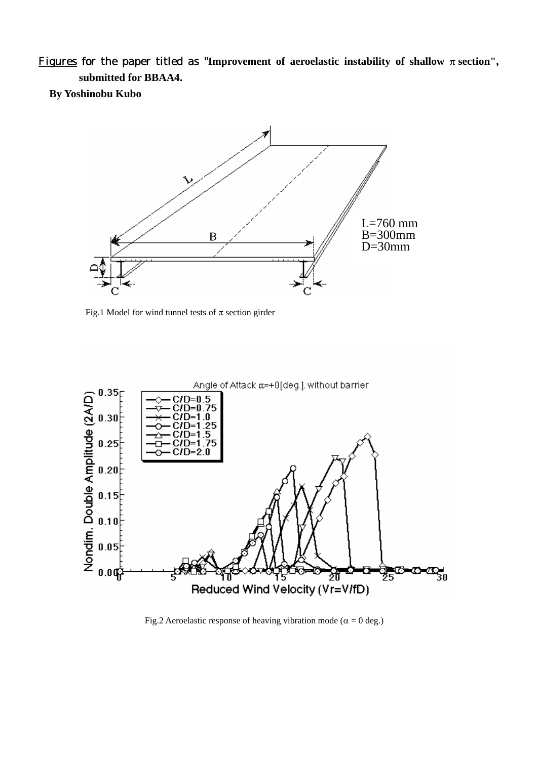Figures for the paper titled as "Improvement of aeroelastic instability of shallow  $\pi$  section", **submitted for BBAA4.** 

**By Yoshinobu Kubo** 



Fig.1 Model for wind tunnel tests of  $\pi$  section girder



Fig.2 Aeroelastic response of heaving vibration mode ( $\alpha = 0$  deg.)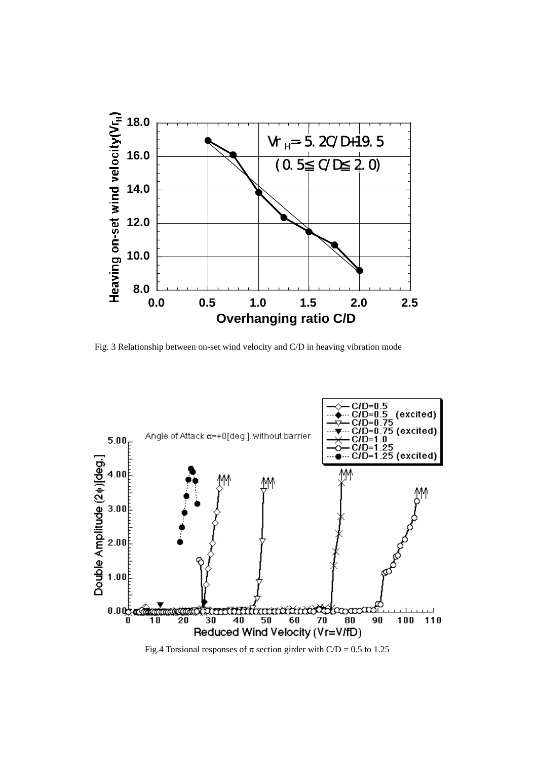

Fig. 3 Relationship between on-set wind velocity and C/D in heaving vibration mode



Fig.4 Torsional responses of  $\pi$  section girder with C/D = 0.5 to 1.25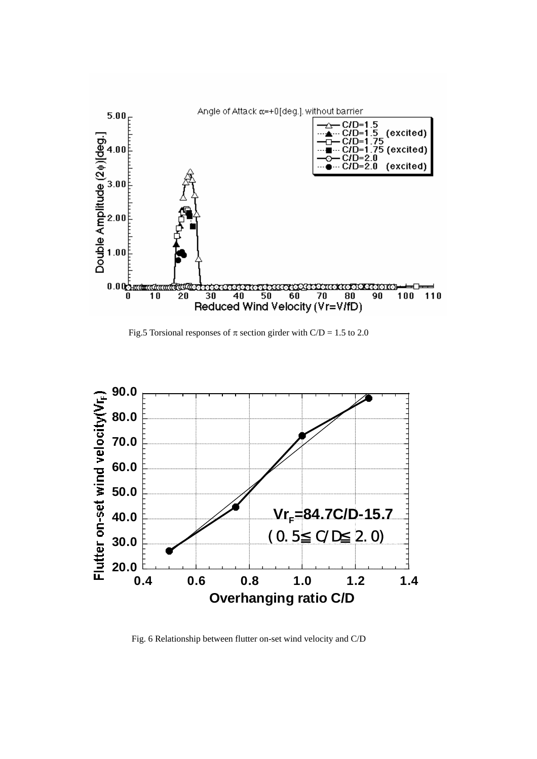

Fig.5 Torsional responses of  $\pi$  section girder with C/D = 1.5 to 2.0



Fig. 6 Relationship between flutter on-set wind velocity and C/D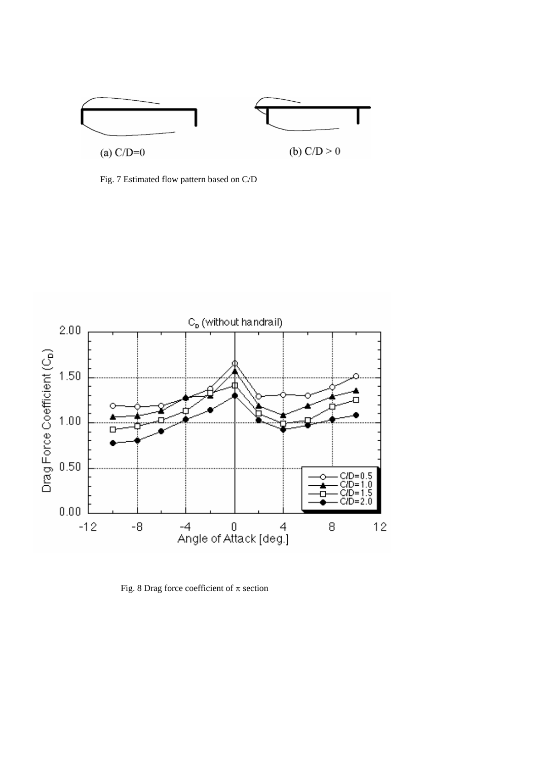

Fig. 7 Estimated flow pattern based on C/D



Fig. 8 Drag force coefficient of  $\pi$  section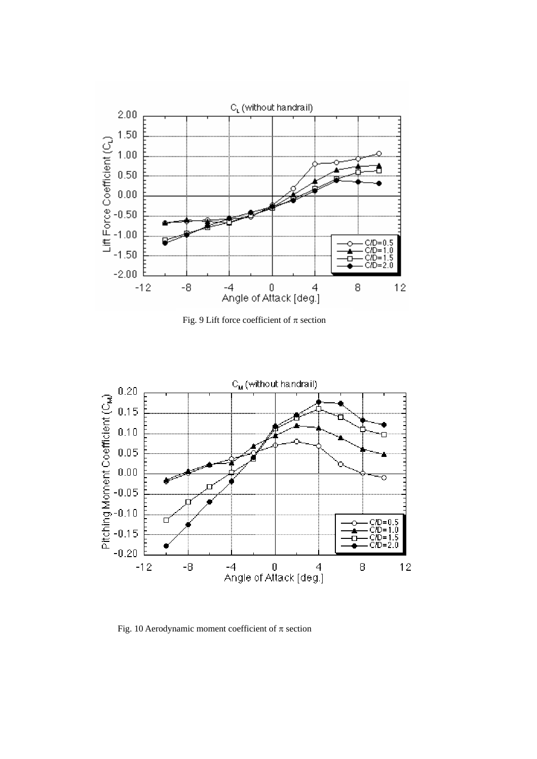

Fig. 9 Lift force coefficient of  $\pi$  section



Fig. 10 Aerodynamic moment coefficient of  $\pi$  section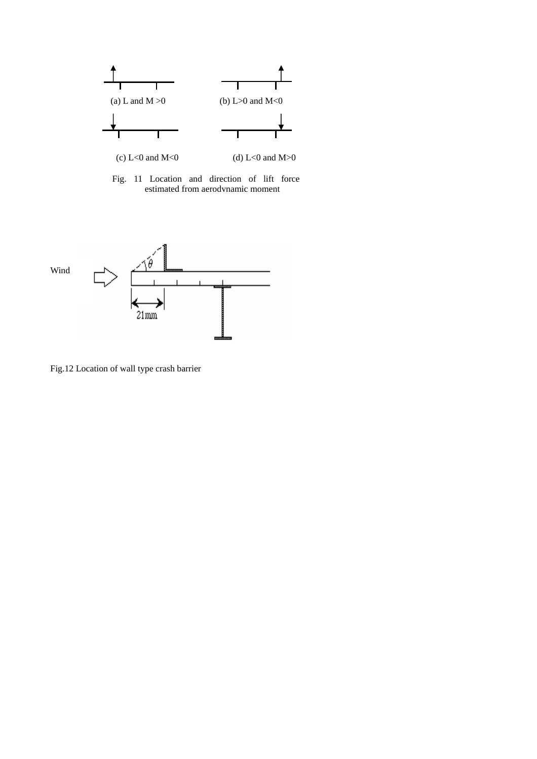

Fig. 11 Location and direction of lift force estimated from aerodynamic moment



Fig.12 Location of wall type crash barrier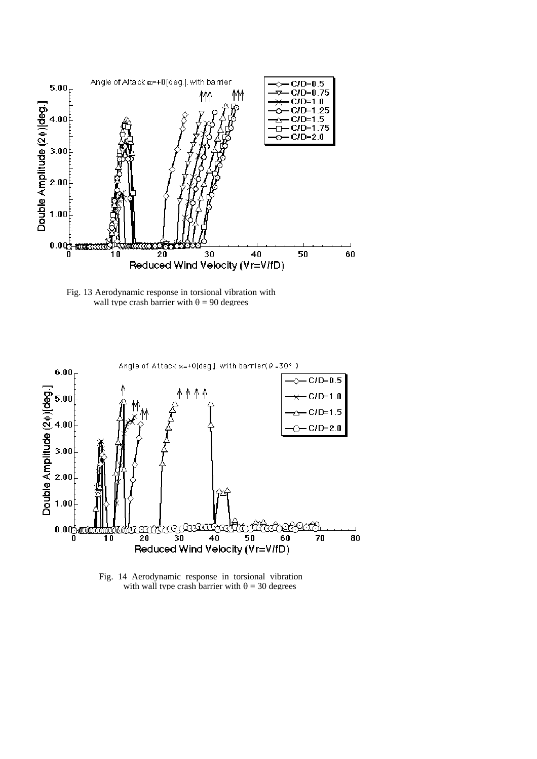

Fig. 13 Aerodynamic response in torsional vibration with wall type crash barrier with  $\theta = 90$  degrees



Fig. 14 Aerodynamic response in torsional vibration with wall type crash barrier with  $\theta = 30$  degrees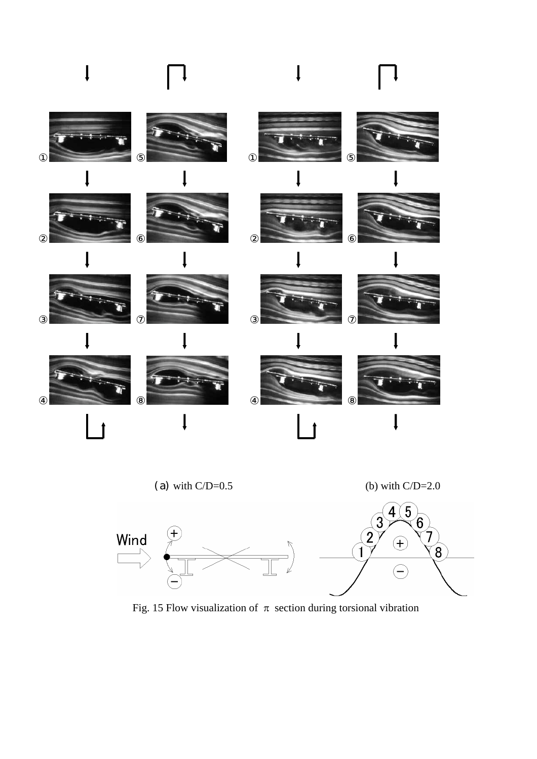



Fig. 15 Flow visualization of  $\pi$  section during torsional vibration